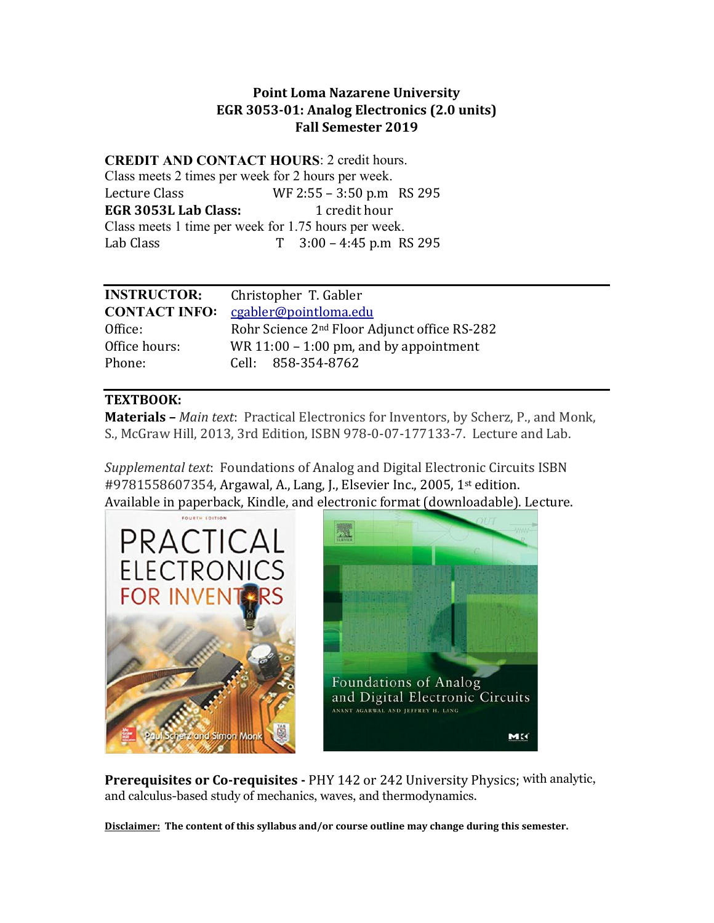### **Point Loma Nazarene University EGR 3053-01: Analog Electronics (2.0 units) Fall Semester 2019**

**CREDIT AND CONTACT HOURS**: 2 credit hours. Class meets 2 times per week for 2 hours per week. Lecture Class WF 2:55 – 3:50 p.m RS 295<br> **EGR 3053L Lab Class:** 1 credit hour **EGR 3053L Lab Class:** Class meets 1 time per week for 1.75 hours per week. Lab Class T 3:00 – 4:45 p.m RS 295

| <b>INSTRUCTOR:</b>   | Christopher T. Gabler                                    |
|----------------------|----------------------------------------------------------|
| <b>CONTACT INFO:</b> | cgabler@pointloma.edu                                    |
| Office:              | Rohr Science 2 <sup>nd</sup> Floor Adjunct office RS-282 |
| Office hours:        | WR $11:00 - 1:00$ pm, and by appointment                 |
| Phone:               | Cell: 858-354-8762                                       |

# **TEXTBOOK:**

**Materials –** *Main text*: Practical Electronics for Inventors, by Scherz, P., and Monk, S., McGraw Hill, 2013, 3rd Edition, ISBN 978-0-07-177133-7. Lecture and Lab.

*Supplemental text*: Foundations of Analog and Digital Electronic Circuits ISBN #9781558607354, Argawal, A., Lang, J., Elsevier Inc., 2005, 1st edition. Available in paperback, Kindle, and electronic format (downloadable). Lecture.





**Prerequisites or Co-requisites -** PHY 142 or 242 University Physics; with analytic, and calculus-based study of mechanics, waves, and thermodynamics.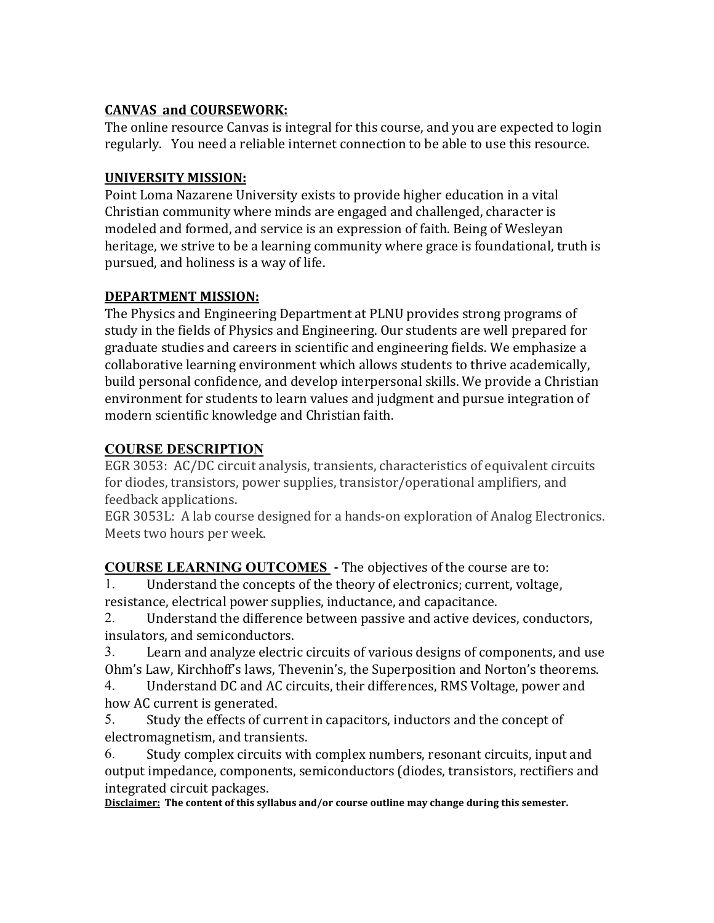# **CANVAS and COURSEWORK:**

The online resource Canvas is integral for this course, and you are expected to login regularly. You need a reliable internet connection to be able to use this resource.

# **UNIVERSITY MISSION:**

Point Loma Nazarene University exists to provide higher education in a vital Christian community where minds are engaged and challenged, character is modeled and formed, and service is an expression of faith. Being of Wesleyan heritage, we strive to be a learning community where grace is foundational, truth is pursued, and holiness is a way of life.

### **DEPARTMENT MISSION:**

The Physics and Engineering Department at PLNU provides strong programs of study in the fields of Physics and Engineering. Our students are well prepared for graduate studies and careers in scientific and engineering fields. We emphasize a collaborative learning environment which allows students to thrive academically, build personal confidence, and develop interpersonal skills. We provide a Christian environment for students to learn values and judgment and pursue integration of modern scientific knowledge and Christian faith.

# **COURSE DESCRIPTION**

EGR 3053: AC/DC circuit analysis, transients, characteristics of equivalent circuits for diodes, transistors, power supplies, transistor/operational amplifiers, and feedback applications.

EGR 3053L: A lab course designed for a hands-on exploration of Analog Electronics. Meets two hours per week.

**COURSE LEARNING OUTCOMES** - The objectives of the course are to:<br>1. Understand the concents of the theory of electronics: current, voltage

Understand the concepts of the theory of electronics; current, voltage, resistance, electrical power supplies, inductance, and capacitance.<br>2. Understand the difference between passive and active device

Understand the difference between passive and active devices, conductors, insulators, and semiconductors.<br>3. Learn and analyze electri

3. Learn and analyze electric circuits of various designs of components, and use Ohm's Law, Kirchhoff's laws, Thevenin's, the Superposition and Norton's theorems.<br>4. Understand DC and AC circuits, their differences, RMS Voltage, power and

Understand DC and AC circuits, their differences, RMS Voltage, power and how AC current is generated.<br>5. Study the effects of cur-

Study the effects of current in capacitors, inductors and the concept of electromagnetism, and transients.

6. Study complex circuits with complex numbers, resonant circuits, input and output impedance, components, semiconductors (diodes, transistors, rectifiers and integrated circuit packages.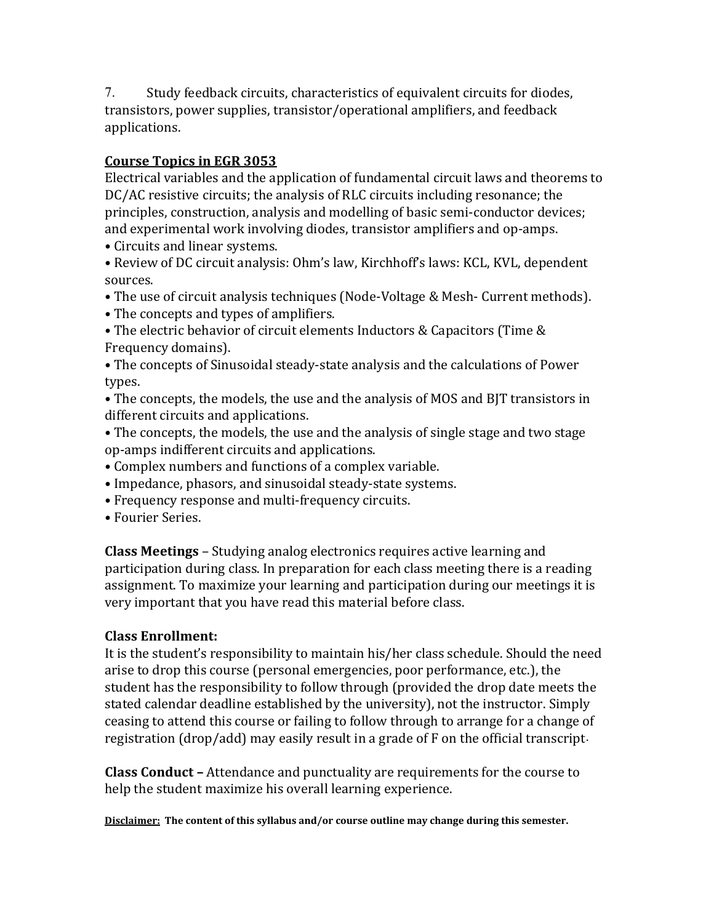7. Study feedback circuits, characteristics of equivalent circuits for diodes, transistors, power supplies, transistor/operational amplifiers, and feedback applications.

# **Course Topics in EGR 3053**

Electrical variables and the application of fundamental circuit laws and theorems to DC/AC resistive circuits; the analysis of RLC circuits including resonance; the principles, construction, analysis and modelling of basic semi-conductor devices; and experimental work involving diodes, transistor amplifiers and op-amps.

• Circuits and linear systems.

• Review of DC circuit analysis: Ohm's law, Kirchhoff's laws: KCL, KVL, dependent sources.

• The use of circuit analysis techniques (Node-Voltage & Mesh- Current methods).

- The concepts and types of amplifiers.
- The electric behavior of circuit elements Inductors & Capacitors (Time & Frequency domains).

• The concepts of Sinusoidal steady-state analysis and the calculations of Power types.

• The concepts, the models, the use and the analysis of MOS and BJT transistors in different circuits and applications.

• The concepts, the models, the use and the analysis of single stage and two stage op-amps indifferent circuits and applications.

• Complex numbers and functions of a complex variable.

• Impedance, phasors, and sinusoidal steady-state systems.

- Frequency response and multi-frequency circuits.
- Fourier Series.

**Class Meetings** – Studying analog electronics requires active learning and participation during class. In preparation for each class meeting there is a reading assignment. To maximize your learning and participation during our meetings it is very important that you have read this material before class.

### **Class Enrollment:**

It is the student's responsibility to maintain his/her class schedule. Should the need arise to drop this course (personal emergencies, poor performance, etc.), the student has the responsibility to follow through (provided the drop date meets the stated calendar deadline established by the university), not the instructor. Simply ceasing to attend this course or failing to follow through to arrange for a change of registration (drop/add) may easily result in a grade of F on the official transcript.

**Class Conduct –** Attendance and punctuality are requirements for the course to help the student maximize his overall learning experience.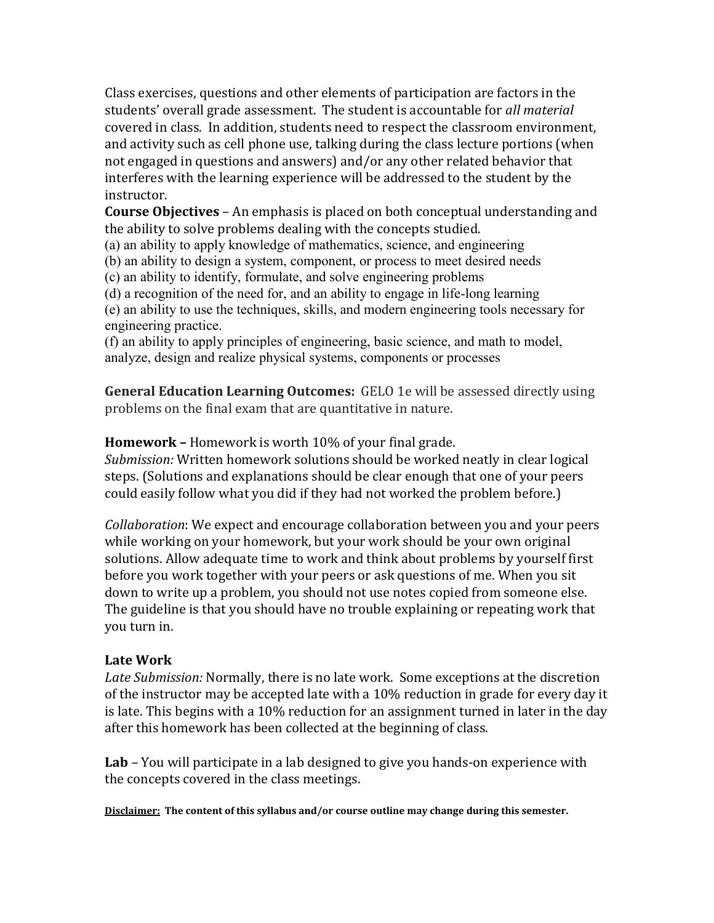Class exercises, questions and other elements of participation are factors in the students' overall grade assessment. The student is accountable for *all material* covered in class. In addition, students need to respect the classroom environment, and activity such as cell phone use, talking during the class lecture portions (when not engaged in questions and answers) and/or any other related behavior that interferes with the learning experience will be addressed to the student by the instructor.

**Course Objectives** – An emphasis is placed on both conceptual understanding and the ability to solve problems dealing with the concepts studied.

(a) an ability to apply knowledge of mathematics, science, and engineering

(b) an ability to design a system, component, or process to meet desired needs

(c) an ability to identify, formulate, and solve engineering problems

(d) a recognition of the need for, and an ability to engage in life-long learning

(e) an ability to use the techniques, skills, and modern engineering tools necessary for engineering practice.

(f) an ability to apply principles of engineering, basic science, and math to model, analyze, design and realize physical systems, components or processes

**General Education Learning Outcomes:** GELO 1e will be assessed directly using problems on the final exam that are quantitative in nature.

**Homework –** Homework is worth 10% of your final grade.

*Submission:* Written homework solutions should be worked neatly in clear logical steps. (Solutions and explanations should be clear enough that one of your peers could easily follow what you did if they had not worked the problem before.)

*Collaboration*: We expect and encourage collaboration between you and your peers while working on your homework, but your work should be your own original solutions. Allow adequate time to work and think about problems by yourself first before you work together with your peers or ask questions of me. When you sit down to write up a problem, you should not use notes copied from someone else. The guideline is that you should have no trouble explaining or repeating work that you turn in.

# **Late Work**

*Late Submission:* Normally, there is no late work. Some exceptions at the discretion of the instructor may be accepted late with a 10% reduction in grade for every day it is late. This begins with a 10% reduction for an assignment turned in later in the day after this homework has been collected at the beginning of class.

**Lab** *–* You will participate in a lab designed to give you hands-on experience with the concepts covered in the class meetings.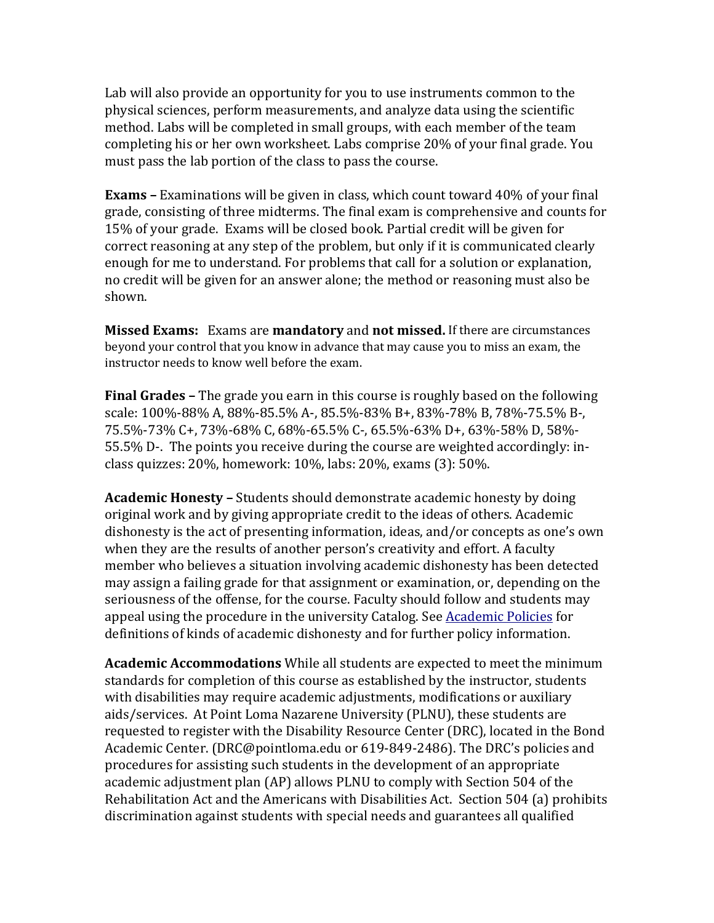Lab will also provide an opportunity for you to use instruments common to the physical sciences, perform measurements, and analyze data using the scientific method. Labs will be completed in small groups, with each member of the team completing his or her own worksheet. Labs comprise 20% of your final grade. You must pass the lab portion of the class to pass the course.

**Exams –** Examinations will be given in class, which count toward 40% of your final grade, consisting of three midterms. The final exam is comprehensive and counts for 15% of your grade. Exams will be closed book. Partial credit will be given for correct reasoning at any step of the problem, but only if it is communicated clearly enough for me to understand. For problems that call for a solution or explanation, no credit will be given for an answer alone; the method or reasoning must also be shown.

**Missed Exams:** Exams are **mandatory** and **not missed.** If there are circumstances beyond your control that you know in advance that may cause you to miss an exam, the instructor needs to know well before the exam.

**Final Grades –** The grade you earn in this course is roughly based on the following scale: 100%-88% A, 88%-85.5% A-, 85.5%-83% B+, 83%-78% B, 78%-75.5% B-, 75.5%-73% C+, 73%-68% C, 68%-65.5% C-, 65.5%-63% D+, 63%-58% D, 58%- 55.5% D-. The points you receive during the course are weighted accordingly: inclass quizzes: 20%, homework: 10%, labs: 20%, exams (3): 50%.

**Academic Honesty –** Students should demonstrate academic honesty by doing original work and by giving appropriate credit to the ideas of others. Academic dishonesty is the act of presenting information, ideas, and/or concepts as one's own when they are the results of another person's creativity and effort. A faculty member who believes a situation involving academic dishonesty has been detected may assign a failing grade for that assignment or examination, or, depending on the seriousness of the offense, for the course. Faculty should follow and students may appeal using the procedure in the university Catalog. See [Academic Policies](http://catalog.pointloma.edu/content.php?catoid=18&navoid=1278) for definitions of kinds of academic dishonesty and for further policy information.

**Academic Accommodations** While all students are expected to meet the minimum standards for completion of this course as established by the instructor, students with disabilities may require academic adjustments, modifications or auxiliary aids/services. At Point Loma Nazarene University (PLNU), these students are requested to register with the Disability Resource Center (DRC), located in the Bond Academic Center. (DRC@pointloma.edu or 619-849-2486). The DRC's policies and procedures for assisting such students in the development of an appropriate academic adjustment plan (AP) allows PLNU to comply with Section 504 of the Rehabilitation Act and the Americans with Disabilities Act. Section 504 (a) prohibits discrimination against students with special needs and guarantees all qualified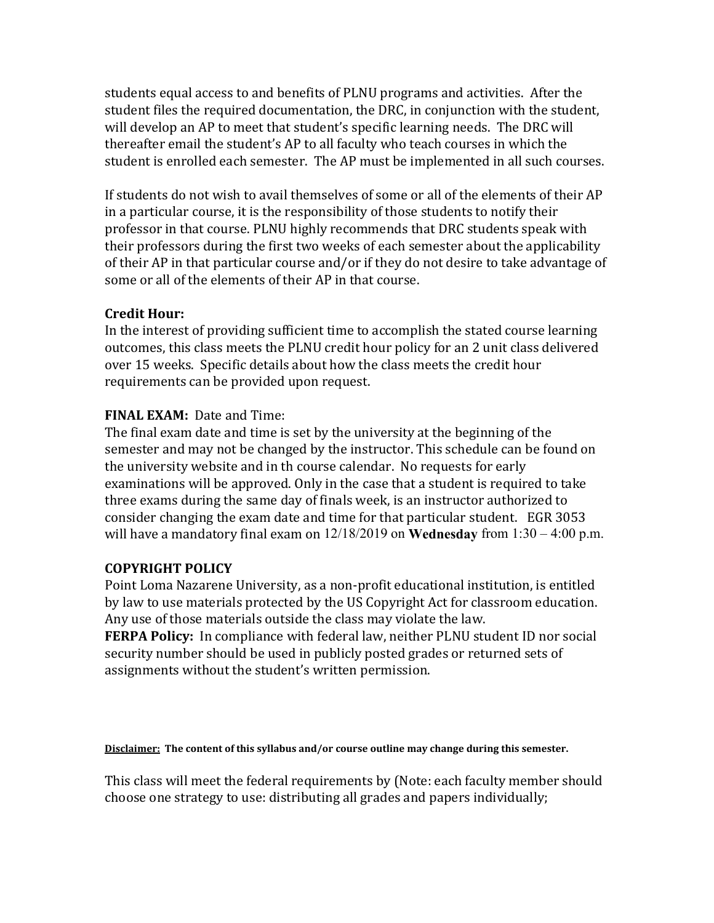students equal access to and benefits of PLNU programs and activities. After the student files the required documentation, the DRC, in conjunction with the student, will develop an AP to meet that student's specific learning needs. The DRC will thereafter email the student's AP to all faculty who teach courses in which the student is enrolled each semester. The AP must be implemented in all such courses.

If students do not wish to avail themselves of some or all of the elements of their AP in a particular course, it is the responsibility of those students to notify their professor in that course. PLNU highly recommends that DRC students speak with their professors during the first two weeks of each semester about the applicability of their AP in that particular course and/or if they do not desire to take advantage of some or all of the elements of their AP in that course.

### **Credit Hour:**

In the interest of providing sufficient time to accomplish the stated course learning outcomes, this class meets the PLNU credit hour policy for an 2 unit class delivered over 15 weeks. Specific details about how the class meets the credit hour requirements can be provided upon request.

# **FINAL EXAM:** Date and Time:

The final exam date and time is set by the university at the beginning of the semester and may not be changed by the instructor. This schedule can be found on the university website and in th course calendar. No requests for early examinations will be approved. Only in the case that a student is required to take three exams during the same day of finals week, is an instructor authorized to consider changing the exam date and time for that particular student. EGR 3053 will have a mandatory final exam on 12/18/2019 on **Wednesday** from 1:30 – 4:00 p.m.

### **COPYRIGHT POLICY**

Point Loma Nazarene University, as a non-profit educational institution, is entitled by law to use materials protected by the US Copyright Act for classroom education. Any use of those materials outside the class may violate the law.

**FERPA Policy:** In compliance with federal law, neither PLNU student ID nor social security number should be used in publicly posted grades or returned sets of assignments without the student's written permission.

#### **Disclaimer: The content of this syllabus and/or course outline may change during this semester.**

This class will meet the federal requirements by (Note: each faculty member should choose one strategy to use: distributing all grades and papers individually;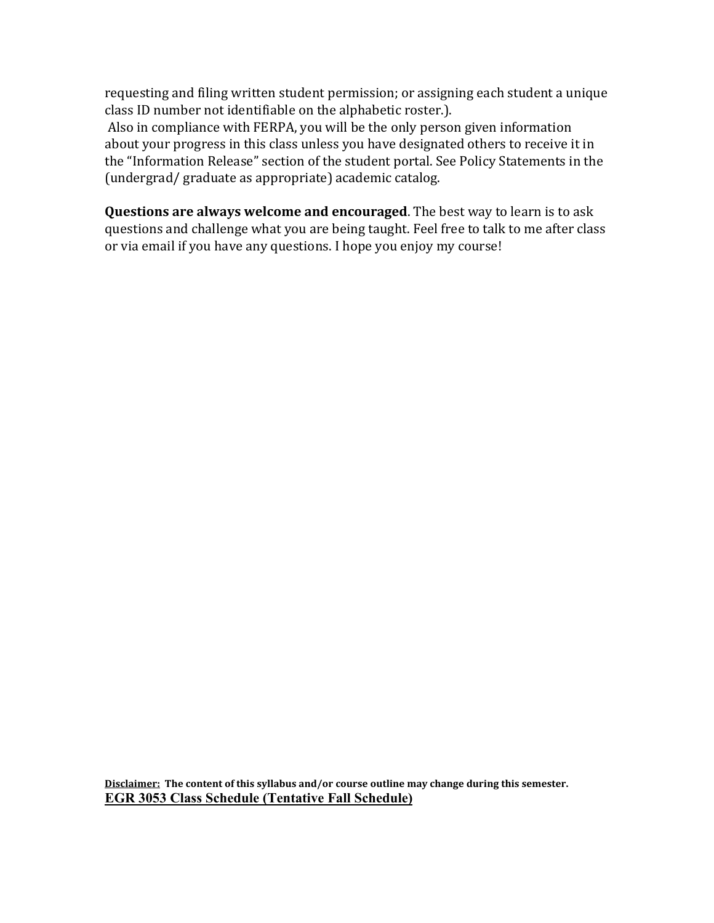requesting and filing written student permission; or assigning each student a unique class ID number not identifiable on the alphabetic roster.).

Also in compliance with FERPA, you will be the only person given information about your progress in this class unless you have designated others to receive it in the "Information Release" section of the student portal. See Policy Statements in the (undergrad/ graduate as appropriate) academic catalog.

**Questions are always welcome and encouraged**. The best way to learn is to ask questions and challenge what you are being taught. Feel free to talk to me after class or via email if you have any questions. I hope you enjoy my course!

**Disclaimer: The content of this syllabus and/or course outline may change during this semester. EGR 3053 Class Schedule (Tentative Fall Schedule)**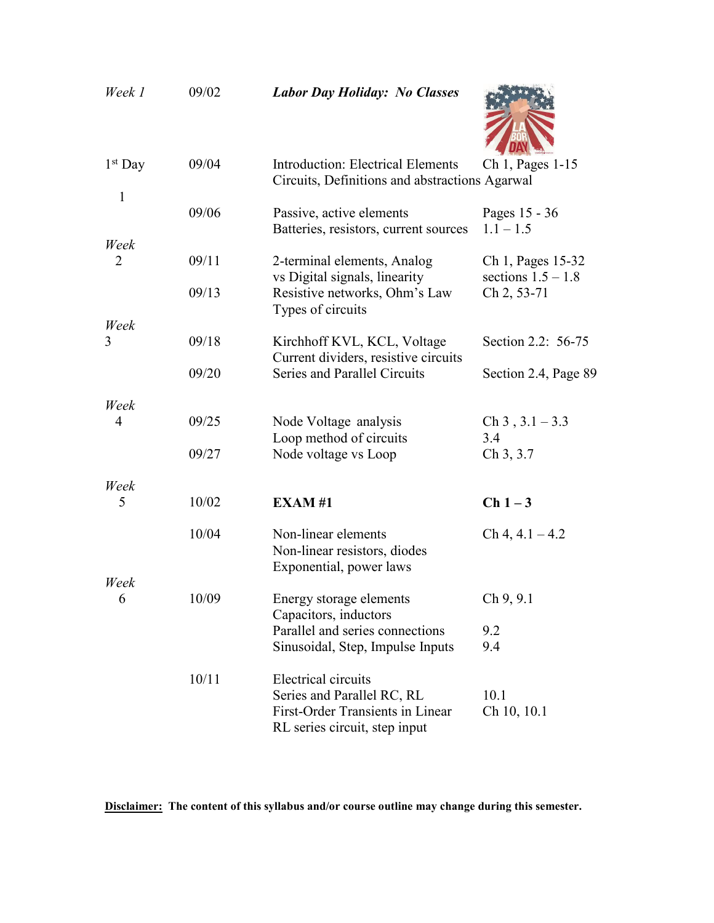| Week 1                    | 09/02 | <b>Labor Day Holiday: No Classes</b>                                                                                   |                                     |
|---------------------------|-------|------------------------------------------------------------------------------------------------------------------------|-------------------------------------|
| $1st$ Day<br>$\mathbf{1}$ | 09/04 | <b>Introduction: Electrical Elements</b><br>Circuits, Definitions and abstractions Agarwal                             | Ch 1, Pages 1-15                    |
|                           | 09/06 | Passive, active elements<br>Batteries, resistors, current sources                                                      | Pages 15 - 36<br>$1.1 - 1.5$        |
| Week<br>2                 | 09/11 | 2-terminal elements, Analog                                                                                            | Ch 1, Pages 15-32                   |
|                           | 09/13 | vs Digital signals, linearity<br>Resistive networks, Ohm's Law<br>Types of circuits                                    | sections $1.5 - 1.8$<br>Ch 2, 53-71 |
| Week                      |       |                                                                                                                        |                                     |
| 3                         | 09/18 | Kirchhoff KVL, KCL, Voltage<br>Current dividers, resistive circuits                                                    | Section 2.2: 56-75                  |
|                           | 09/20 | <b>Series and Parallel Circuits</b>                                                                                    | Section 2.4, Page 89                |
| Week                      |       |                                                                                                                        |                                     |
| 4                         | 09/25 | Node Voltage analysis<br>Loop method of circuits                                                                       | $Ch 3, 3.1 - 3.3$<br>3.4            |
|                           | 09/27 | Node voltage vs Loop                                                                                                   | Ch 3, 3.7                           |
| Week                      |       |                                                                                                                        |                                     |
| 5                         | 10/02 | <b>EXAM#1</b>                                                                                                          | $Ch1-3$                             |
|                           | 10/04 | Non-linear elements<br>Non-linear resistors, diodes<br>Exponential, power laws                                         | $Ch 4, 4.1 - 4.2$                   |
| Week<br>6                 | 10/09 | Energy storage elements<br>Capacitors, inductors                                                                       | Ch 9, 9.1                           |
|                           |       | Parallel and series connections<br>Sinusoidal, Step, Impulse Inputs                                                    | 9.2<br>9.4                          |
|                           | 10/11 | Electrical circuits<br>Series and Parallel RC, RL<br>First-Order Transients in Linear<br>RL series circuit, step input | 10.1<br>Ch 10, 10.1                 |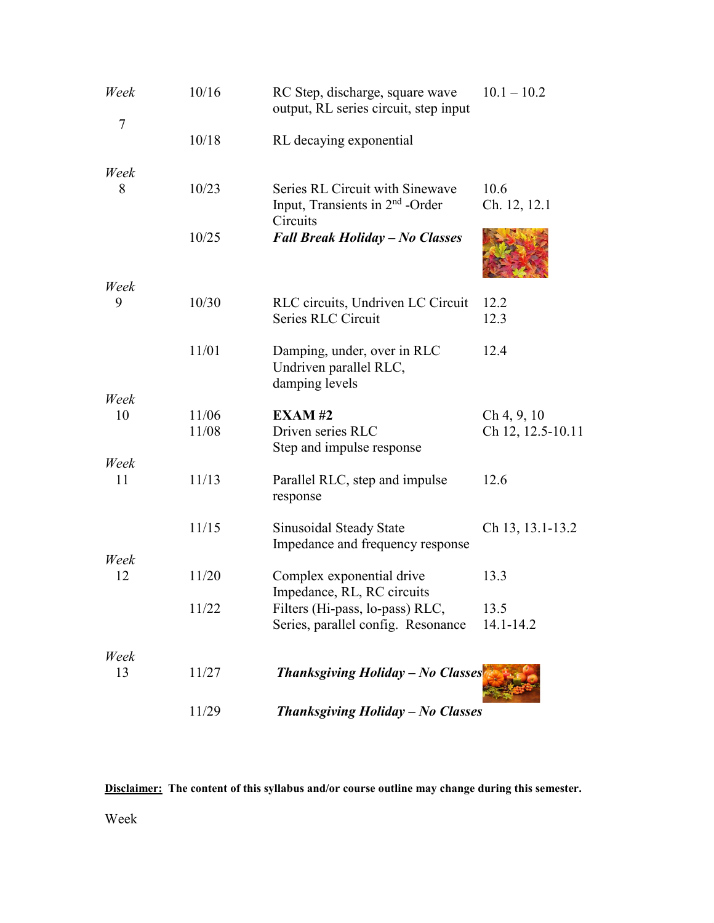| Week<br>$\overline{7}$ | 10/16          | RC Step, discharge, square wave<br>output, RL series circuit, step input                   | $10.1 - 10.2$                    |
|------------------------|----------------|--------------------------------------------------------------------------------------------|----------------------------------|
|                        | 10/18          | RL decaying exponential                                                                    |                                  |
| Week                   |                |                                                                                            |                                  |
| 8                      | 10/23          | Series RL Circuit with Sinewave<br>Input, Transients in 2 <sup>nd</sup> -Order<br>Circuits | 10.6<br>Ch. 12, 12.1             |
|                        | 10/25          | <b>Fall Break Holiday - No Classes</b>                                                     |                                  |
| Week                   |                |                                                                                            |                                  |
| 9                      | 10/30          | RLC circuits, Undriven LC Circuit<br>Series RLC Circuit                                    | 12.2<br>12.3                     |
|                        | 11/01          | Damping, under, over in RLC<br>Undriven parallel RLC,<br>damping levels                    | 12.4                             |
| Week                   |                |                                                                                            |                                  |
| 10                     | 11/06<br>11/08 | <b>EXAM#2</b><br>Driven series RLC<br>Step and impulse response                            | Ch 4, 9, 10<br>Ch 12, 12.5-10.11 |
| Week                   |                |                                                                                            |                                  |
| 11                     | 11/13          | Parallel RLC, step and impulse<br>response                                                 | 12.6                             |
|                        | 11/15          | Sinusoidal Steady State<br>Impedance and frequency response                                | Ch 13, 13.1-13.2                 |
| Week                   |                |                                                                                            |                                  |
| 12                     | 11/20          | Complex exponential drive<br>Impedance, RL, RC circuits                                    | 13.3                             |
|                        | 11/22          | Filters (Hi-pass, lo-pass) RLC,<br>Series, parallel config. Resonance                      | 13.5<br>14.1-14.2                |
| Week                   |                |                                                                                            |                                  |
| 13                     | 11/27          | <b>Thanksgiving Holiday - No Classes</b>                                                   |                                  |
|                        | 11/29          | <b>Thanksgiving Holiday - No Classes</b>                                                   |                                  |

**Disclaimer: The content of this syllabus and/or course outline may change during this semester.**

Week